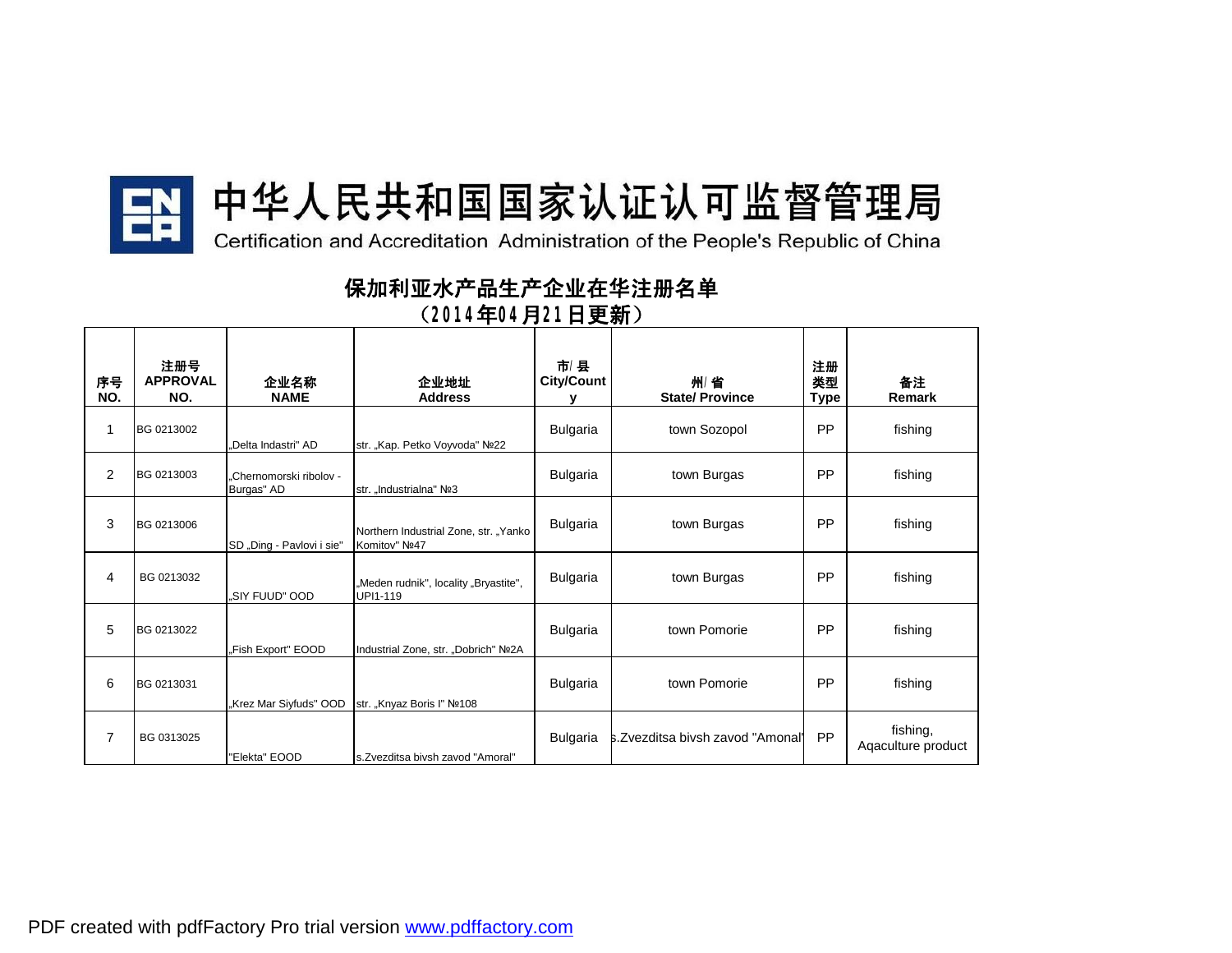

## 中华人民共和国国家认证认可监督管理局

Certification and Accreditation Administration of the People's Republic of China

**保加利亚水产品生产企业在华注册名单 (2014年04月21日更新)**

| 序号<br>NO.      | 注册号<br><b>APPROVAL</b><br>NO. | 企业名称<br><b>NAME</b>                   | 企业地址<br><b>Address</b>                                 | 市/县<br><b>City/Count</b> | 州/省<br><b>State/ Province</b>    | 注册<br>类型<br><b>Type</b> | 备注<br>Remark                   |
|----------------|-------------------------------|---------------------------------------|--------------------------------------------------------|--------------------------|----------------------------------|-------------------------|--------------------------------|
| 1              | BG 0213002                    | "Delta Indastri" AD                   | str. "Kap. Petko Voyvoda" Nº22                         | Bulgaria                 | town Sozopol                     | <b>PP</b>               | fishing                        |
| $\overline{2}$ | BG 0213003                    | "Chernomorski ribolov -<br>Burgas" AD | str. Industrialna" Nº3                                 | <b>Bulgaria</b>          | town Burgas                      | PP                      | fishing                        |
| 3              | BG 0213006                    | SD "Ding - Pavlovi i sie"             | Northern Industrial Zone, str. "Yanko<br>Komitov" Nº47 | Bulgaria                 | town Burgas                      | <b>PP</b>               | fishing                        |
| 4              | BG 0213032                    | .SIY FUUD" OOD                        | "Meden rudnik", locality "Bryastite",<br>UPI1-119      | Bulgaria                 | town Burgas                      | PP                      | fishing                        |
| 5              | BG 0213022                    | "Fish Export" EOOD                    | Industrial Zone, str. "Dobrich" Nº2A                   | Bulgaria                 | town Pomorie                     | <b>PP</b>               | fishing                        |
| 6              | BG 0213031                    | "Krez Mar Siyfuds" OOD                | str. "Knyaz Boris I" Nº108                             | Bulgaria                 | town Pomorie                     | PP                      | fishing                        |
| $\overline{7}$ | BG 0313025                    | "Elekta" EOOD                         | s.Zvezditsa bivsh zavod "Amoral"                       | Bulgaria                 | s.Zvezditsa bivsh zavod "Amonal" | <b>PP</b>               | fishing,<br>Agaculture product |